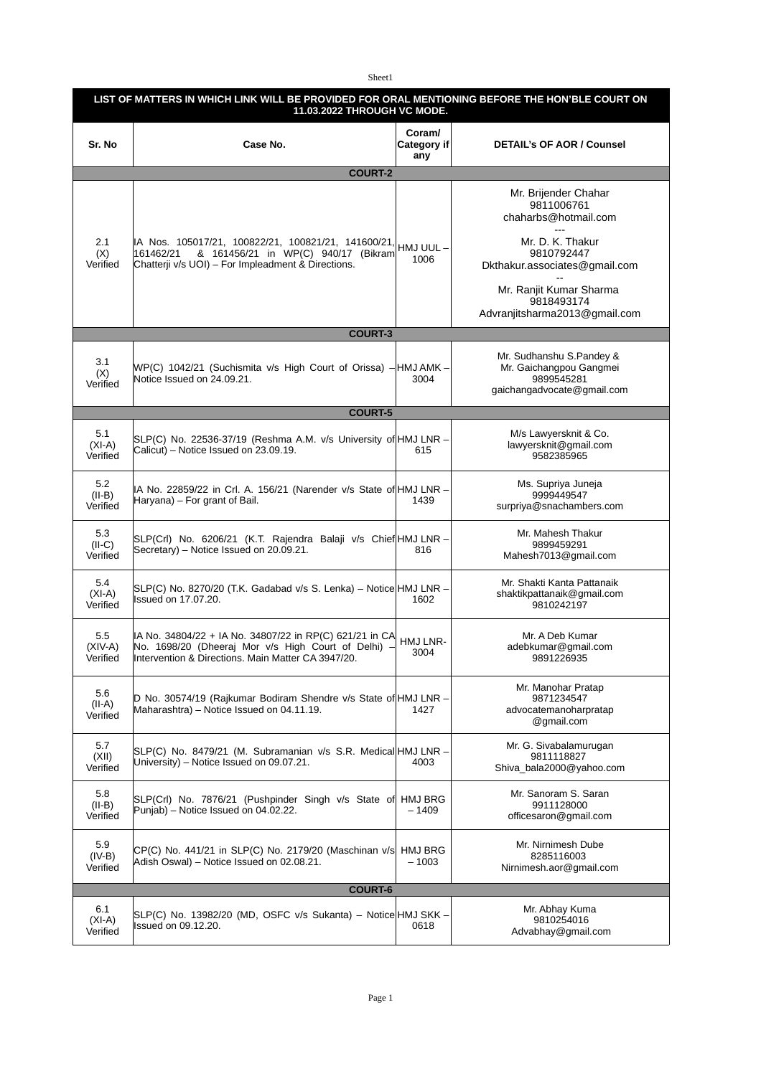Sheet1

| LIST OF MATTERS IN WHICH LINK WILL BE PROVIDED FOR ORAL MENTIONING BEFORE THE HON'BLE COURT ON<br>11.03.2022 THROUGH VC MODE. |                                                                                                                                                                      |                               |                                                                                                 |  |  |  |
|-------------------------------------------------------------------------------------------------------------------------------|----------------------------------------------------------------------------------------------------------------------------------------------------------------------|-------------------------------|-------------------------------------------------------------------------------------------------|--|--|--|
| Sr. No                                                                                                                        | Case No.                                                                                                                                                             | Coram/<br>Category if∣<br>any | <b>DETAIL's OF AOR / Counsel</b>                                                                |  |  |  |
| <b>COURT-2</b>                                                                                                                |                                                                                                                                                                      |                               |                                                                                                 |  |  |  |
|                                                                                                                               |                                                                                                                                                                      |                               | Mr. Brijender Chahar<br>9811006761<br>chaharbs@hotmail.com                                      |  |  |  |
| 2.1<br>(X)<br>Verified                                                                                                        | IA Nos. 105017/21, 100822/21, 100821/21, 141600/21,<br>& 161456/21 in WP(C) 940/17 (Bikram<br>161462/21<br>Chatterji v/s UOI) - For Impleadment & Directions.        | HMJ UUL-<br>1006              | Mr. D. K. Thakur<br>9810792447<br>Dkthakur.associates@gmail.com                                 |  |  |  |
|                                                                                                                               |                                                                                                                                                                      |                               | Mr. Ranjit Kumar Sharma<br>9818493174<br>Advranjitsharma2013@gmail.com                          |  |  |  |
| <b>COURT-3</b>                                                                                                                |                                                                                                                                                                      |                               |                                                                                                 |  |  |  |
| 3.1<br>(X)<br>Verified                                                                                                        | WP(C) 1042/21 (Suchismita v/s High Court of Orissa) - HMJ AMK -<br>Notice Issued on 24.09.21.                                                                        | 3004                          | Mr. Sudhanshu S.Pandey &<br>Mr. Gaichangpou Gangmei<br>9899545281<br>gaichangadvocate@gmail.com |  |  |  |
|                                                                                                                               | <b>COURT-5</b>                                                                                                                                                       |                               |                                                                                                 |  |  |  |
| 5.1<br>$(XI-A)$<br>Verified                                                                                                   | SLP(C) No. 22536-37/19 (Reshma A.M. v/s University of HMJ LNR -<br>Calicut) - Notice Issued on 23.09.19.                                                             | 615                           | M/s Lawyersknit & Co.<br>lawyersknit@gmail.com<br>9582385965                                    |  |  |  |
| 5.2<br>$(II-B)$<br>Verified                                                                                                   | IA No. 22859/22 in Crl. A. 156/21 (Narender v/s State of HMJ LNR -<br>Haryana) – For grant of Bail.                                                                  | 1439                          | Ms. Supriya Juneja<br>9999449547<br>surpriya@snachambers.com                                    |  |  |  |
| 5.3<br>$(II-C)$<br>Verified                                                                                                   | SLP(Crl) No. 6206/21 (K.T. Rajendra Balaji v/s Chief HMJ LNR -<br>Secretary) - Notice Issued on 20.09.21.                                                            | 816                           | Mr. Mahesh Thakur<br>9899459291<br>Mahesh7013@gmail.com                                         |  |  |  |
| 5.4<br>$(XI-A)$<br>Verified                                                                                                   | SLP(C) No. 8270/20 (T.K. Gadabad v/s S. Lenka) – Notice HMJ LNR –<br>Issued on 17.07.20.                                                                             | 1602                          | Mr. Shakti Kanta Pattanaik<br>shaktikpattanaik@gmail.com<br>9810242197                          |  |  |  |
| 5.5<br>$(XIV-A)$<br>Verified                                                                                                  | IA No. 34804/22 + IA No. 34807/22 in RP(C) 621/21 in CA<br>No. 1698/20 (Dheeraj Mor v/s High Court of Delhi) -<br>Intervention & Directions. Main Matter CA 3947/20. | HMJ LNR-<br>3004              | Mr. A Deb Kumar<br>adebkumar@gmail.com<br>9891226935                                            |  |  |  |
| 5.6<br>$(II-A)$<br>Verified                                                                                                   | D No. 30574/19 (Rajkumar Bodiram Shendre v/s State of HMJ LNR -<br>Maharashtra) - Notice Issued on 04.11.19.                                                         | 1427                          | Mr. Manohar Pratap<br>9871234547<br>advocatemanoharpratap<br>@gmail.com                         |  |  |  |
| 5.7<br>(XII)<br>Verified                                                                                                      | SLP(C) No. 8479/21 (M. Subramanian v/s S.R. Medical HMJ LNR -<br>University) - Notice Issued on 09.07.21.                                                            | 4003                          | Mr. G. Sivabalamurugan<br>9811118827<br>Shiva bala2000@yahoo.com                                |  |  |  |
| 5.8<br>$(II-B)$<br>Verified                                                                                                   | SLP(Crl) No. 7876/21 (Pushpinder Singh v/s State of<br>Punjab) - Notice Issued on 04.02.22.                                                                          | HMJ BRG<br>– 1409             | Mr. Sanoram S. Saran<br>9911128000<br>officesaron@gmail.com                                     |  |  |  |
| 5.9<br>$(IV-B)$<br>Verified                                                                                                   | CP(C) No. 441/21 in SLP(C) No. 2179/20 (Maschinan v/s<br>Adish Oswal) – Notice Issued on 02.08.21.                                                                   | <b>HMJ BRG</b><br>$-1003$     | Mr. Nirnimesh Dube<br>8285116003<br>Nirnimesh.aor@gmail.com                                     |  |  |  |
| <b>COURT-6</b>                                                                                                                |                                                                                                                                                                      |                               |                                                                                                 |  |  |  |
| 6.1<br>$(XI-A)$<br>Verified                                                                                                   | SLP(C) No. 13982/20 (MD, OSFC v/s Sukanta) – Notice HMJ SKK –<br><b>Issued on 09.12.20.</b>                                                                          | 0618                          | Mr. Abhay Kuma<br>9810254016<br>Advabhay@gmail.com                                              |  |  |  |